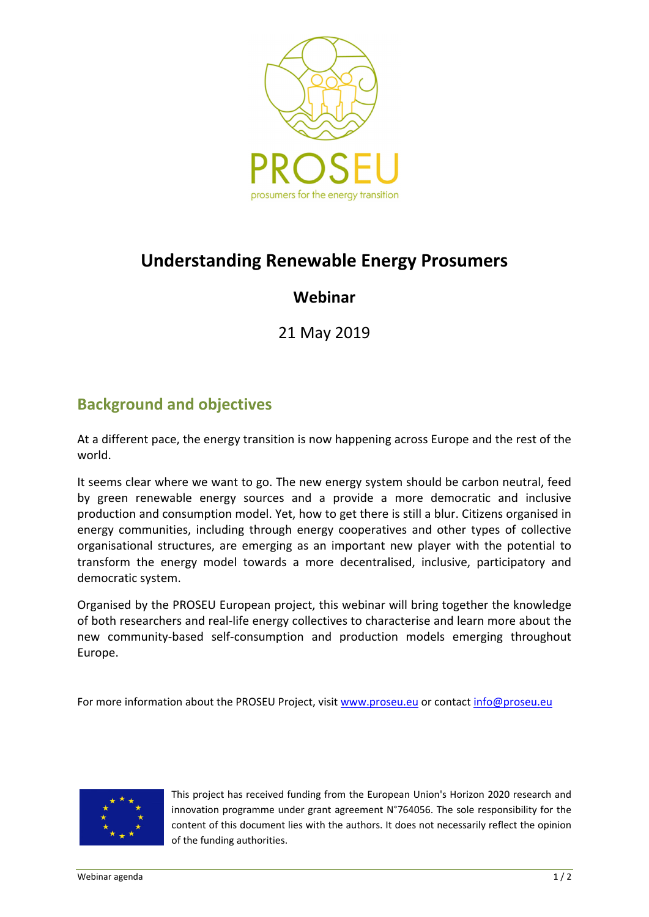

# **Understanding Renewable Energy Prosumers**

## **Webinar**

21 May 2019

# **Background and objectives**

At a different pace, the energy transition is now happening across Europe and the rest of the world.

It seems clear where we want to go. The new energy system should be carbon neutral, feed by green renewable energy sources and a provide a more democratic and inclusive production and consumption model. Yet, how to get there is still a blur. Citizens organised in energy communities, including through energy cooperatives and other types of collective organisational structures, are emerging as an important new player with the potential to transform the energy model towards a more decentralised, inclusive, participatory and democratic system.

Organised by the PROSEU European project, this webinar will bring together the knowledge of both researchers and real‐life energy collectives to characterise and learn more about the new community-based self-consumption and production models emerging throughout Europe.

For more information about the PROSEU Project, visit www.proseu.eu or contact info@proseu.eu



This project has received funding from the European Union's Horizon 2020 research and innovation programme under grant agreement  $N^{\circ}$ 764056. The sole responsibility for the content of this document lies with the authors. It does not necessarily reflect the opinion of the funding authorities.